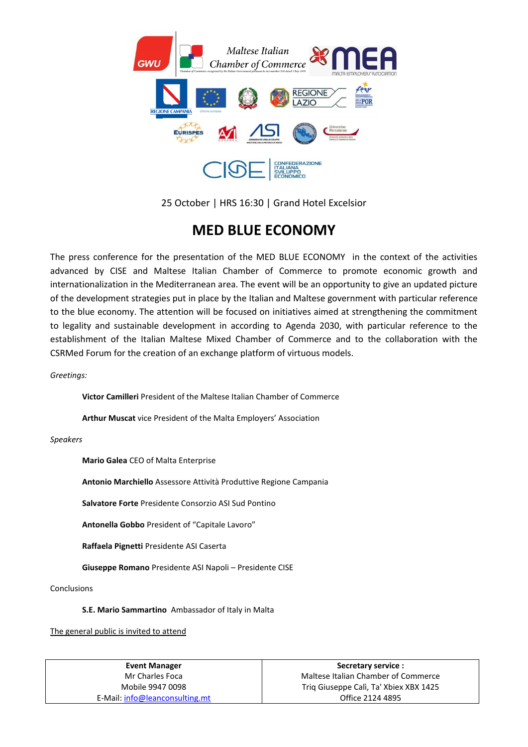

25 October | HRS 16:30 | Grand Hotel Excelsior

### **MED BLUE ECONOMY**

The press conference for the presentation of the MED BLUE ECONOMY in the context of the activities advanced by CISE and Maltese Italian Chamber of Commerce to promote economic growth and internationalization in the Mediterranean area. The event will be an opportunity to give an updated picture of the development strategies put in place by the Italian and Maltese government with particular reference to the blue economy. The attention will be focused on initiatives aimed at strengthening the commitment to legality and sustainable development in according to Agenda 2030, with particular reference to the establishment of the Italian Maltese Mixed Chamber of Commerce and to the collaboration with the CSRMed Forum for the creation of an exchange platform of virtuous models.

*Greetings:*

**Victor Camilleri** President of the Maltese Italian Chamber of Commerce

**Arthur Muscat** vice President of the Malta Employers' Association

*Speakers* 

**Mario Galea** CEO of Malta Enterprise

**Antonio Marchiello** Assessore Attività Produttive Regione Campania

**Salvatore Forte** Presidente Consorzio ASI Sud Pontino

**Antonella Gobbo** President of "Capitale Lavoro"

**Raffaela Pignetti** Presidente ASI Caserta

**Giuseppe Romano** Presidente ASI Napoli – Presidente CISE

Conclusions

**S.E. Mario Sammartino** Ambassador of Italy in Malta

The general public is invited to attend

| Event Manager                  | Secretary service :                    |
|--------------------------------|----------------------------------------|
| Mr Charles Foca                | Maltese Italian Chamber of Commerce    |
| Mobile 9947 0098               | Triq Giuseppe Calì, Ta' Xbiex XBX 1425 |
| E-Mail: info@leanconsulting.mt | Office 2124 4895                       |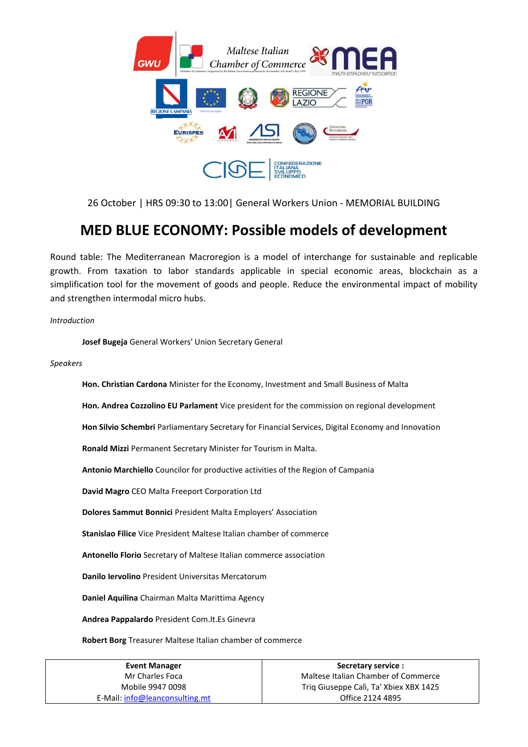

26 October | HRS 09:30 to 13:00| General Workers Union - MEMORIAL BUILDING

### **MED BLUE ECONOMY: Possible models of development**

Round table: The Mediterranean Macroregion is a model of interchange for sustainable and replicable growth. From taxation to labor standards applicable in special economic areas, blockchain as a simplification tool for the movement of goods and people. Reduce the environmental impact of mobility and strengthen intermodal micro hubs.

*Introduction* 

**Josef Bugeja** General Workers' Union Secretary General

*Speakers* 

**Hon. Christian Cardona** Minister for the Economy, Investment and Small Business of Malta

**Hon. Andrea Cozzolino EU Parlament** Vice president for the commission on regional development

**Hon Silvio Schembri** Parliamentary Secretary for Financial Services, Digital Economy and Innovation

**Ronald Mizzi** Permanent Secretary Minister for Tourism in Malta.

**Antonio Marchiello** Councilor for productive activities of the Region of Campania

**David Magro** CEO Malta Freeport Corporation Ltd

**Dolores Sammut Bonnici** President Malta Employers' Association

**Stanislao Filice** Vice President Maltese Italian chamber of commerce

**Antonello Florio** Secretary of Maltese Italian commerce association

**Danilo Iervolino** President Universitas Mercatorum

**Daniel Aquilina** Chairman Malta Marittima Agency

**Andrea Pappalardo** President Com.It.Es Ginevra

**Robert Borg** Treasurer Maltese Italian chamber of commerce

| Event Manager                  | Secretary service :                    |
|--------------------------------|----------------------------------------|
| Mr Charles Foca                | Maltese Italian Chamber of Commerce    |
| Mobile 9947 0098               | Triq Giuseppe Calì, Ta' Xbiex XBX 1425 |
| E-Mail: info@leanconsulting.mt | Office 2124 4895                       |
|                                |                                        |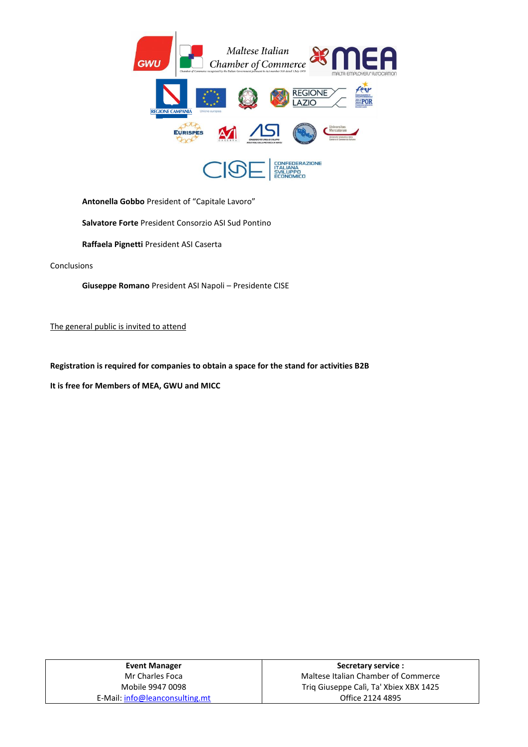

**Antonella Gobbo** President of "Capitale Lavoro"

**Salvatore Forte** President Consorzio ASI Sud Pontino

**Raffaela Pignetti** President ASI Caserta

Conclusions

**Giuseppe Romano** President ASI Napoli – Presidente CISE

The general public is invited to attend

**Registration is required for companies to obtain a space for the stand for activities B2B**

**It is free for Members of MEA, GWU and MICC**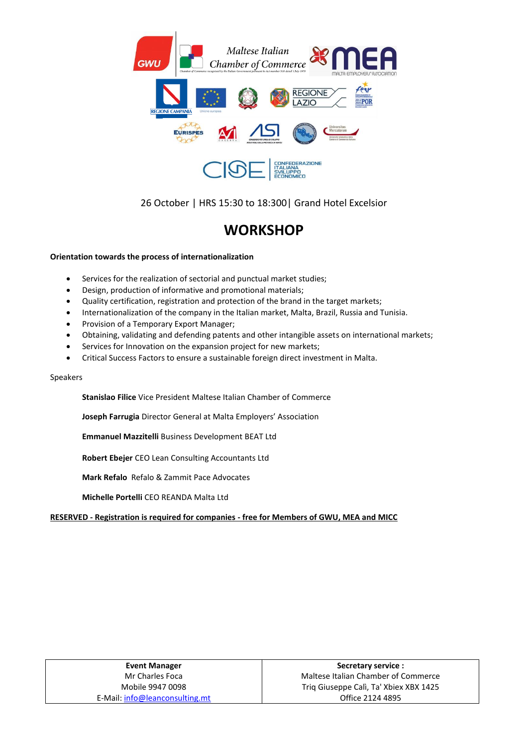

26 October | HRS 15:30 to 18:300| Grand Hotel Excelsior

## **WORKSHOP**

### **Orientation towards the process of internationalization**

- Services for the realization of sectorial and punctual market studies;
- Design, production of informative and promotional materials;
- Quality certification, registration and protection of the brand in the target markets;
- Internationalization of the company in the Italian market, Malta, Brazil, Russia and Tunisia.
- Provision of a Temporary Export Manager;
- Obtaining, validating and defending patents and other intangible assets on international markets;
- Services for Innovation on the expansion project for new markets;
- Critical Success Factors to ensure a sustainable foreign direct investment in Malta.

#### Speakers

**Stanislao Filice** Vice President Maltese Italian Chamber of Commerce

**Joseph Farrugia** Director General at Malta Employers' Association

**Emmanuel Mazzitelli** Business Development BEAT Ltd

**Robert Ebejer** CEO Lean Consulting Accountants Ltd

**Mark Refalo** Refalo & Zammit Pace Advocates

**Michelle Portelli** CEO REANDA Malta Ltd

**RESERVED - Registration is required for companies - free for Members of GWU, MEA and MICC** 

| <b>Event Manager</b>           |
|--------------------------------|
| Mr Charles Foca                |
| Mobile 9947 0098               |
| E-Mail: info@leanconsulting.mt |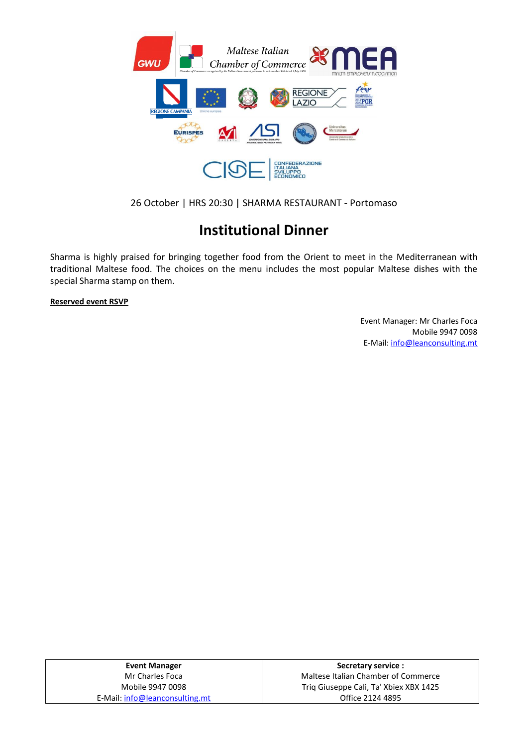

### 26 October | HRS 20:30 | SHARMA RESTAURANT - Portomaso

## **Institutional Dinner**

Sharma is highly praised for bringing together food from the Orient to meet in the Mediterranean with traditional Maltese food. The choices on the menu includes the most popular Maltese dishes with the special Sharma stamp on them.

**Reserved event RSVP**

Event Manager: Mr Charles Foca Mobile 9947 0098 E-Mail: [info@leanconsulting.mt](mailto:info@leanconsulting.mt)

**Event Manager**  Mr Charles Foca Mobile 9947 0098 E-Mail: [info@leanconsulting.mt](mailto:info@leanconsulting.mt)